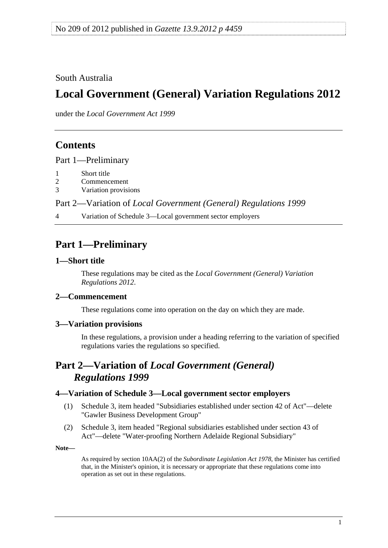<span id="page-0-0"></span>South Australia

# **Local Government (General) Variation Regulations 2012**

under the *Local Government Act 1999*

## **Contents**

[Part 1—Preliminary](#page-0-0)

- [1 Short title](#page-0-0)
- [2 Commencement](#page-0-0)
- [3 Variation provisions](#page-0-0)

Part 2—Variation of *[Local Government \(General\) Regulations 1999](#page-0-0)*

[4 Variation of Schedule 3—Local government sector employers](#page-0-0) 

# **Part 1—Preliminary**

#### **1—Short title**

These regulations may be cited as the *Local Government (General) Variation Regulations 2012*.

### **2—Commencement**

These regulations come into operation on the day on which they are made.

#### **3—Variation provisions**

In these regulations, a provision under a heading referring to the variation of specified regulations varies the regulations so specified.

### **Part 2—Variation of** *Local Government (General) Regulations 1999*

### **4—Variation of Schedule 3—Local government sector employers**

- (1) Schedule 3, item headed "Subsidiaries established under section 42 of Act"—delete "Gawler Business Development Group"
- (2) Schedule 3, item headed "Regional subsidiaries established under section 43 of Act"—delete "Water-proofing Northern Adelaide Regional Subsidiary"

**Note—** 

As required by section 10AA(2) of the *[Subordinate Legislation Act 1978](http://www.legislation.sa.gov.au/index.aspx?action=legref&type=act&legtitle=Subordinate%20Legislation%20Act%201978)*, the Minister has certified that, in the Minister's opinion, it is necessary or appropriate that these regulations come into operation as set out in these regulations.